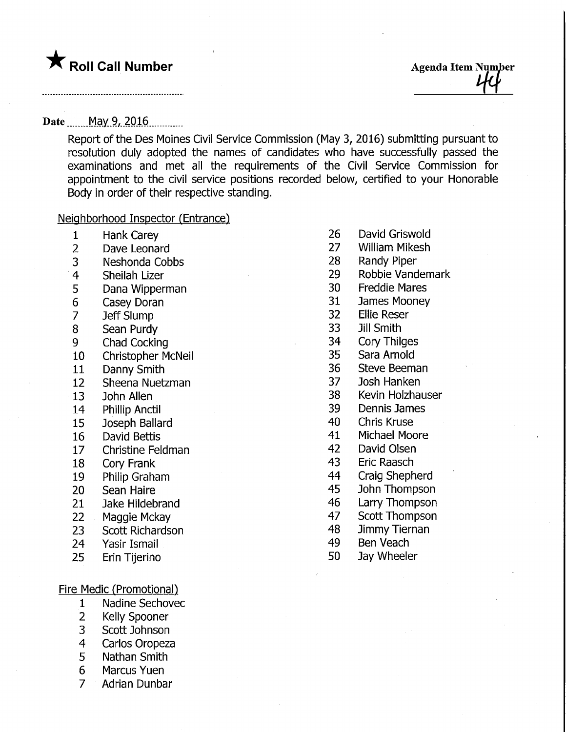

## Date........Ma.y.9/. 20.16,

Report of the Des Moines Civil Service Commission (May 3, 2016) submitting pursuant to resolution duly adopted the names of candidates who have successfully passed the examinations and met all the requirements of the Civil Service Commission for appointment to the civil service positions recorded below, certified to your Honorable Body in order of their respective standing.

### Neighborhood Inspector (Entrance)

- 1 Hank Carey
- 2 Dave Leonard
- 3 Neshonda Cobbs
- 4 Sheilah Lizer
- 5 Dana Wipperman
- 6 Casey Doran
- 7 Jeff Slump
- 8 Sean Purdy
- 9 Chad Cocking
- 10 Christopher McNeil
- 11 Danny Smith
- 12 Sheena Nuetzman
- 13 John Alien
- 14 Phillip Anctil
- 15 Joseph Ballard
- 16 David Bettis
- 17 Christine Feldman
- 18 Cory Frank
- 19 Philip Graham
- 20 Sean Haire
- 21 Jake Hildebrand
- 22 Maggie Mckay
- 23 Scott Richardson
- 24 Yasir Ismail
- 25 Erin Tijerino

### Fire Medic (Promotional)

- 1 Nadine Sechovec
- 2 Kelly Spooner
- 3 Scott Johnson
- 4 Carlos Oropeza
- 5 Nathan Smith
- 6 Marcus Yuen
- 7 Adrian Dunbar
- 26 David Griswold
- 27 William Mikesh
- 28 Randy Piper
- 29 Robbie Vandemark
- 30 Freddie Mares
- 31 James Mooney
- 32 Ellie Reser
- 33 Jill Smith
- 34 Cory Thilges
- 35 Sara Arnold
- 36 Steve Beeman
- 37 Josh Hanken
- 38 Kevin Holzhauser
- 39 Dennis James
- 40 Chris Kruse
- 41 Michael Moore
- 42 David Olsen
- 43 Erie Raasch
- 44 Craig Shepherd
- 45 John Thompson
- 46 Larry Thompson
- 47 Scott Thompson
- 48 Jimmy Tiernan
- 49 Ben Veach
- 50 Jay Wheeler